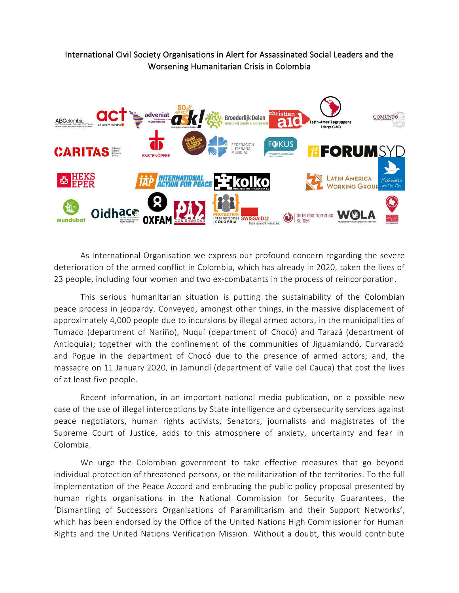## International Civil Society Organisations in Alert for Assassinated Social Leaders and the Worsening Humanitarian Crisis in Colombia



As International Organisation we express our profound concern regarding the severe deterioration of the armed conflict in Colombia, which has already in 2020, taken the lives of 23 people, including four women and two ex-combatants in the process of reincorporation.

This serious humanitarian situation is putting the sustainability of the Colombian peace process in jeopardy. Conveyed, amongst other things, in the massive displacement of approximately 4,000 people due to incursions by illegal armed actors, in the municipalities of Tumaco (department of Nariño), Nuquí (department of Chocó) and Tarazá (department of Antioquia); together with the confinement of the communities of Jiguamiandó, Curvaradó and Pogue in the department of Chocó due to the presence of armed actors; and, the massacre on 11 January 2020, in Jamundí (department of Valle del Cauca) that cost the lives of at least five people.

Recent information, in an important national media publication, on a possible new case of the use of illegal interceptions by State intelligence and cybersecurity services against peace negotiators, human rights activists, Senators, journalists and magistrates of the Supreme Court of Justice, adds to this atmosphere of anxiety, uncertainty and fear in Colombia.

We urge the Colombian government to take effective measures that go beyond individual protection of threatened persons, or the militarization of the territories. To the full implementation of the Peace Accord and embracing the public policy proposal presented by human rights organisations in the National Commission for Security Guarantees, the 'Dismantling of Successors Organisations of Paramilitarism and their Support Networks', which has been endorsed by the Office of the United Nations High Commissioner for Human Rights and the United Nations Verification Mission. Without a doubt, this would contribute